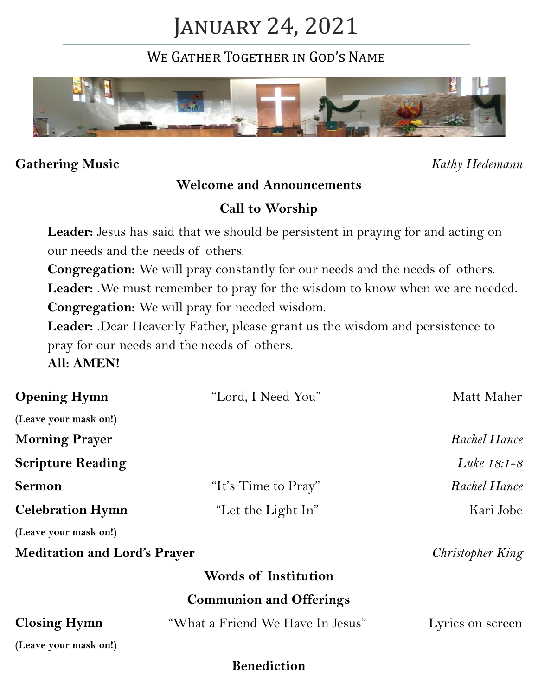# January 24, 2021

WE GATHER TOGETHER IN GOD'S NAME



## **Gathering Music** *Kathy Hedemann*

## **Welcome and Announcements**

## **Call to Worship**

Leader: Jesus has said that we should be persistent in praying for and acting on our needs and the needs of others.

**Congregation:** We will pray constantly for our needs and the needs of others. Leader: . We must remember to pray for the wisdom to know when we are needed. **Congregation:** We will pray for needed wisdom.

**Leader:** .Dear Heavenly Father, please grant us the wisdom and persistence to pray for our needs and the needs of others.

**All: AMEN!**

| <b>Opening Hymn</b>                 | "Lord, I Need You"               | Matt Maher       |
|-------------------------------------|----------------------------------|------------------|
| (Leave your mask on!)               |                                  |                  |
| <b>Morning Prayer</b>               |                                  | Rachel Hance     |
| <b>Scripture Reading</b>            |                                  | Luke $18:1 - 8$  |
| <b>Sermon</b>                       | "It's Time to Pray"              | Rachel Hance     |
| <b>Celebration Hymn</b>             | "Let the Light In"               | Kari Jobe        |
| (Leave your mask on!)               |                                  |                  |
| <b>Meditation and Lord's Prayer</b> |                                  | Christopher King |
|                                     | <b>Words of Institution</b>      |                  |
|                                     | <b>Communion and Offerings</b>   |                  |
| <b>Closing Hymn</b>                 | "What a Friend We Have In Jesus" | Lyrics on screen |
| (Leave your mask on!)               |                                  |                  |
| <b>Benediction</b>                  |                                  |                  |